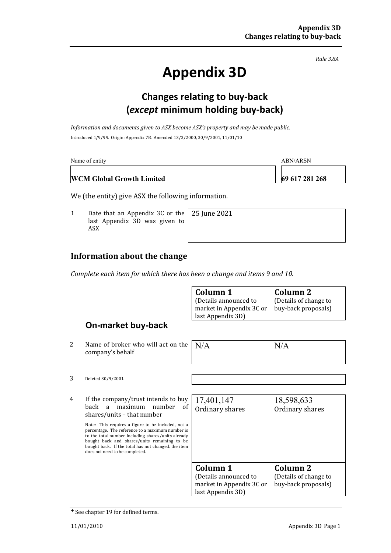*Rule 3.8A*

# **Appendix 3D**

### **Changes relating to buy-back (***except* **minimum holding buy-back)**

*Information and documents given to ASX become ASX's property and may be made public.* Introduced 1/9/99. Origin: Appendix 7B. Amended 13/3/2000, 30/9/2001, 11/01/10

| Name of entity                   | ABN/ARSN       |
|----------------------------------|----------------|
| <b>WCM Global Growth Limited</b> | 69 617 281 268 |

25 June 2021

We (the entity) give ASX the following information.

1 Date that an Appendix 3C or the last Appendix 3D was given to ASX

#### **Information about the change**

*Complete each item for which there has been a change and items 9 and 10.*

| Column 1                 | Column 2              |
|--------------------------|-----------------------|
| (Details announced to    | (Details of change to |
| market in Appendix 3C or | buy-back proposals)   |
| last Appendix 3D)        |                       |

#### **On-market buy-back**

2 Name of broker who will act on the company's behalf

| N/A | N/A |
|-----|-----|
|     |     |

3 Deleted 30/9/2001.

4 If the company/trust intends to buy<br>back a maximum number of back a maximum number shares/units – that number

> Note: This requires a figure to be included, not a percentage. The reference to a maximum number is to the total number including shares/units already bought back and shares/units remaining to be bought back. If the total has not changed, the item does not need to be completed.

| 17,401,147               | 18,598,633            |
|--------------------------|-----------------------|
| Ordinary shares          | Ordinary shares       |
|                          |                       |
|                          |                       |
|                          |                       |
|                          |                       |
|                          |                       |
| Column 1                 | Column <sub>2</sub>   |
| (Details announced to    | (Details of change to |
| market in Appendix 3C or | buy-back proposals)   |
| last Appendix 3D)        |                       |

<sup>+</sup> See chapter 19 for defined terms.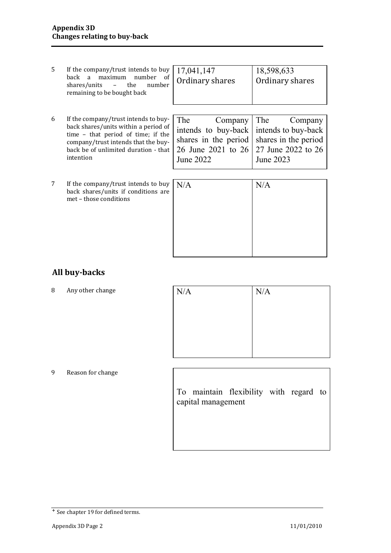| 5 | If the company/trust intends to buy<br>maximum<br>number of<br>back<br>a<br>shares/units<br>the<br>number<br>$\overline{\phantom{a}}$<br>remaining to be bought back                                           | 17,041,147<br>Ordinary shares                                                                    | 18,598,633<br>Ordinary shares                                                                    |
|---|----------------------------------------------------------------------------------------------------------------------------------------------------------------------------------------------------------------|--------------------------------------------------------------------------------------------------|--------------------------------------------------------------------------------------------------|
| 6 | If the company/trust intends to buy-<br>back shares/units within a period of<br>time - that period of time; if the<br>company/trust intends that the buy-<br>back be of unlimited duration - that<br>intention | The<br>Company<br>intends to buy-back<br>shares in the period<br>26 June 2021 to 26<br>June 2022 | The<br>Company<br>intends to buy-back<br>shares in the period<br>27 June 2022 to 26<br>June 2023 |
| 7 | If the company/trust intends to buy<br>back shares/units if conditions are<br>met - those conditions                                                                                                           | N/A                                                                                              | N/A                                                                                              |

#### **All buy-backs**

8 Any other change

| N/A | N/A |
|-----|-----|
|     |     |
|     |     |
|     |     |
|     |     |

9 Reason for change

To maintain flexibility with regard to capital management

<sup>+</sup> See chapter 19 for defined terms.